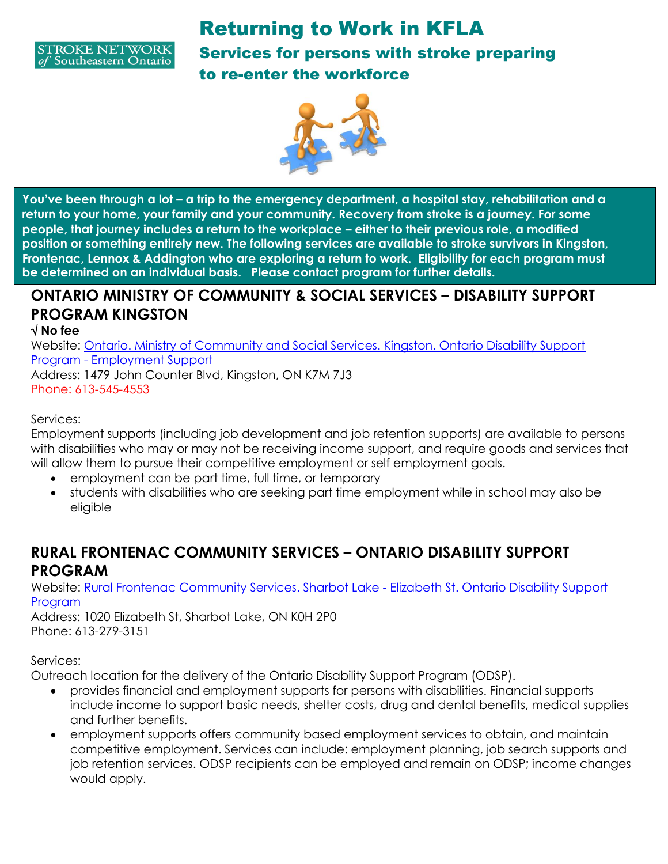



**You've been through a lot – a trip to the emergency department, a hospital stay, rehabilitation and a return to your home, your family and your community. Recovery from stroke is a journey. For some people, that journey includes a return to the workplace – either to their previous role, a modified position or something entirely new. The following services are available to stroke survivors in Kingston, Frontenac, Lennox & Addington who are exploring a return to work. Eligibility for each program must be determined on an individual basis. Please contact program for further details.**

### **ONTARIO MINISTRY OF COMMUNITY & SOCIAL SERVICES – DISABILITY SUPPORT PROGRAM KINGSTON**

#### **No fee**

Website: [Ontario. Ministry of Community and Social Services. Kingston. Ontario Disability Support](file:///C:/eo/en/orginfo/178859/en/)  Program - [Employment Support](file:///C:/eo/en/orginfo/178859/en/)  Address: 1479 John Counter Blvd, Kingston, ON K7M 7J3 Phone: 613-545-4553

#### Services:

Employment supports (including job development and job retention supports) are available to persons with disabilities who may or may not be receiving income support, and require goods and services that will allow them to pursue their competitive employment or self employment goals.

- employment can be part time, full time, or temporary
- students with disabilities who are seeking part time employment while in school may also be eligible

### **RURAL FRONTENAC COMMUNITY SERVICES – ONTARIO DISABILITY SUPPORT PROGRAM**

Website: [Rural Frontenac Community Services. Sharbot Lake -](file:///C:/eo/en/orginfo/50131/en/) Elizabeth St. Ontario Disability Support [Program](file:///C:/eo/en/orginfo/50131/en/) 

Address: 1020 Elizabeth St, Sharbot Lake, ON K0H 2P0 Phone: 613-279-3151

#### Services:

Outreach location for the delivery of the Ontario Disability Support Program (ODSP).

- provides financial and employment supports for persons with disabilities. Financial supports include income to support basic needs, shelter costs, drug and dental benefits, medical supplies and further benefits.
- employment supports offers community based employment services to obtain, and maintain competitive employment. Services can include: employment planning, job search supports and job retention services. ODSP recipients can be employed and remain on ODSP; income changes would apply.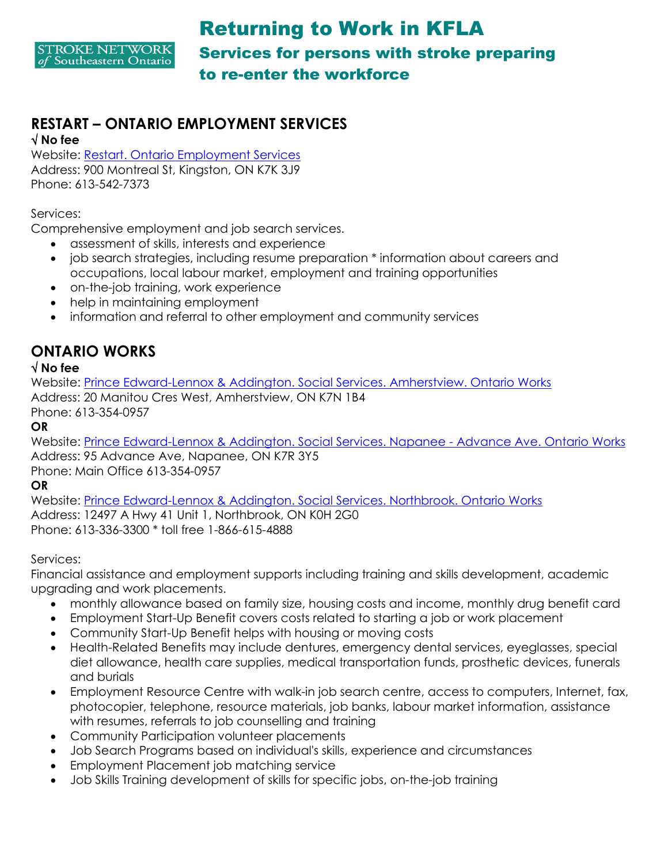

# **RESTART – ONTARIO EMPLOYMENT SERVICES**

**No fee**

Website: [Restart. Ontario Employment Services](file:///C:/eo/en/orginfo/134539/en/)  Address: 900 Montreal St, Kingston, ON K7K 3J9 Phone: 613-542-7373

Services:

Comprehensive employment and job search services.

- assessment of skills, interests and experience
- job search strategies, including resume preparation \* information about careers and occupations, local labour market, employment and training opportunities
- on-the-job training, work experience
- help in maintaining employment
- information and referral to other employment and community services

### **ONTARIO WORKS**

#### **No fee**

Website: [Prince Edward-Lennox & Addington. Social Services. Amherstview. Ontario Works](file:///C:/eo/en/orginfo/176292/en/)  Address: 20 Manitou Cres West, Amherstview, ON K7N 1B4

Phone: 613-354-0957

**OR**

Website: [Prince Edward-Lennox & Addington. Social Services. Napanee -](file:///C:/eo/en/orginfo/178773/en/) Advance Ave. Ontario Works Address: 95 Advance Ave, Napanee, ON K7R 3Y5 Phone: Main Office 613-354-0957

**OR**

Website: [Prince Edward-Lennox & Addington. Social Services. Northbrook. Ontario Works](file:///C:/eo/en/orginfo/176293/en/)  Address: 12497 A Hwy 41 Unit 1, Northbrook, ON K0H 2G0 Phone: 613-336-3300 \* toll free 1-866-615-4888

#### Services:

Financial assistance and employment supports including training and skills development, academic upgrading and work placements.

- monthly allowance based on family size, housing costs and income, monthly drug benefit card
- Employment Start-Up Benefit covers costs related to starting a job or work placement
- Community Start-Up Benefit helps with housing or moving costs
- Health-Related Benefits may include dentures, emergency dental services, eyeglasses, special diet allowance, health care supplies, medical transportation funds, prosthetic devices, funerals and burials
- Employment Resource Centre with walk-in job search centre, access to computers, Internet, fax, photocopier, telephone, resource materials, job banks, labour market information, assistance with resumes, referrals to job counselling and training
- Community Participation volunteer placements
- Job Search Programs based on individual's skills, experience and circumstances
- Employment Placement job matching service
- Job Skills Training development of skills for specific jobs, on-the-job training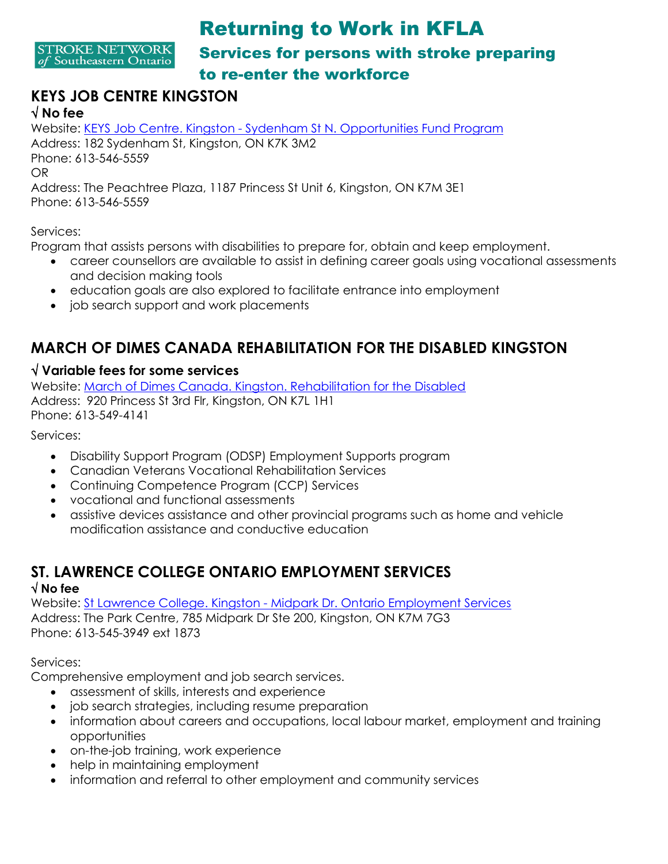**STROKE NETWORK** of Southeastern Ontario

# Returning to Work in KFLA Services for persons with stroke preparing to re-enter the workforce

#### **KEYS JOB CENTRE KINGSTON No fee**

Website: KEYS Job Centre. Kingston - [Sydenham St N. Opportunities Fund Program](file:///C:/eo/en/orginfo/12769/en/)  Address: 182 Sydenham St, Kingston, ON K7K 3M2 Phone: 613-546-5559 OR Address: The Peachtree Plaza, 1187 Princess St Unit 6, Kingston, ON K7M 3E1 Phone: 613-546-5559

Services:

Program that assists persons with disabilities to prepare for, obtain and keep employment.

- career counsellors are available to assist in defining career goals using vocational assessments and decision making tools
- education goals are also explored to facilitate entrance into employment
- job search support and work placements

## **MARCH OF DIMES CANADA REHABILITATION FOR THE DISABLED KINGSTON**

#### **Variable fees for some services**

Website: [March of Dimes Canada. Kingston. Rehabilitation for the Disabled](file:///C:/eo/en/orginfo/178847/en/)  Address: 920 Princess St 3rd Flr, Kingston, ON K7L 1H1 Phone: 613-549-4141

Services:

- Disability Support Program (ODSP) Employment Supports program
- Canadian Veterans Vocational Rehabilitation Services
- Continuing Competence Program (CCP) Services
- vocational and functional assessments
- assistive devices assistance and other provincial programs such as home and vehicle modification assistance and conductive education

# **ST. LAWRENCE COLLEGE ONTARIO EMPLOYMENT SERVICES**

#### **No fee**

Website: St Lawrence College. Kingston - [Midpark Dr. Ontario Employment Services](file:///C:/eo/en/orginfo/134943/en/)  Address: The Park Centre, 785 Midpark Dr Ste 200, Kingston, ON K7M 7G3 Phone: 613-545-3949 ext 1873

Services:

Comprehensive employment and job search services.

- assessment of skills, interests and experience
- job search strategies, including resume preparation
- information about careers and occupations, local labour market, employment and training opportunities
- on-the-job training, work experience
- help in maintaining employment
- information and referral to other employment and community services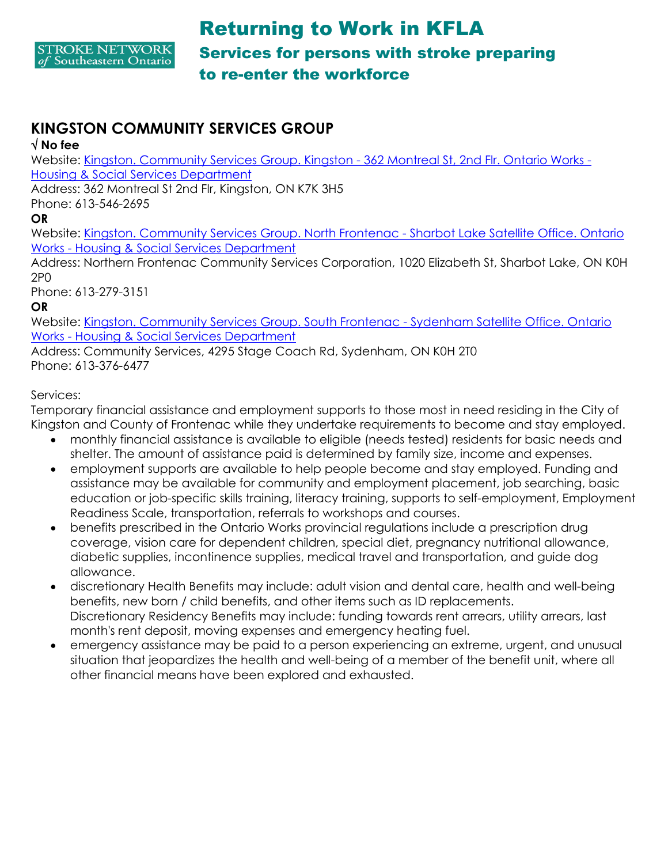

## **KINGSTON COMMUNITY SERVICES GROUP**

#### **No fee**

Website: [Kingston. Community Services Group. Kingston -](file:///C:/eo/en/orginfo/178754/en/;jsessionid=f39772d98b4aa1b474653183d70c) 362 Montreal St, 2nd Flr. Ontario Works - [Housing & Social Services Department](file:///C:/eo/en/orginfo/178754/en/;jsessionid=f39772d98b4aa1b474653183d70c) 

Address: 362 Montreal St 2nd Flr, Kingston, ON K7K 3H5

Phone: 613-546-2695

**OR**

Website: [Kingston. Community Services Group. North Frontenac -](file:///C:/eo/en/orginfo/179215/en/) Sharbot Lake Satellite Office. Ontario Works - [Housing & Social Services Department](file:///C:/eo/en/orginfo/179215/en/) 

Address: Northern Frontenac Community Services Corporation, 1020 Elizabeth St, Sharbot Lake, ON K0H 2P0

Phone: 613-279-3151

#### **OR**

Website: [Kingston. Community Services Group. South Frontenac -](file:///C:/eo/en/orginfo/12405/en/) Sydenham Satellite Office. Ontario Works - [Housing & Social Services Department](file:///C:/eo/en/orginfo/12405/en/) 

Address: Community Services, 4295 Stage Coach Rd, Sydenham, ON K0H 2T0 Phone: 613-376-6477

#### Services:

Temporary financial assistance and employment supports to those most in need residing in the City of Kingston and County of Frontenac while they undertake requirements to become and stay employed.

- monthly financial assistance is available to eligible (needs tested) residents for basic needs and shelter. The amount of assistance paid is determined by family size, income and expenses.
- employment supports are available to help people become and stay employed. Funding and assistance may be available for community and employment placement, job searching, basic education or job-specific skills training, literacy training, supports to self-employment, Employment Readiness Scale, transportation, referrals to workshops and courses.
- benefits prescribed in the Ontario Works provincial regulations include a prescription drug coverage, vision care for dependent children, special diet, pregnancy nutritional allowance, diabetic supplies, incontinence supplies, medical travel and transportation, and guide dog allowance.
- discretionary Health Benefits may include: adult vision and dental care, health and well-being benefits, new born / child benefits, and other items such as ID replacements. Discretionary Residency Benefits may include: funding towards rent arrears, utility arrears, last month's rent deposit, moving expenses and emergency heating fuel.
- emergency assistance may be paid to a person experiencing an extreme, urgent, and unusual situation that jeopardizes the health and well-being of a member of the benefit unit, where all other financial means have been explored and exhausted.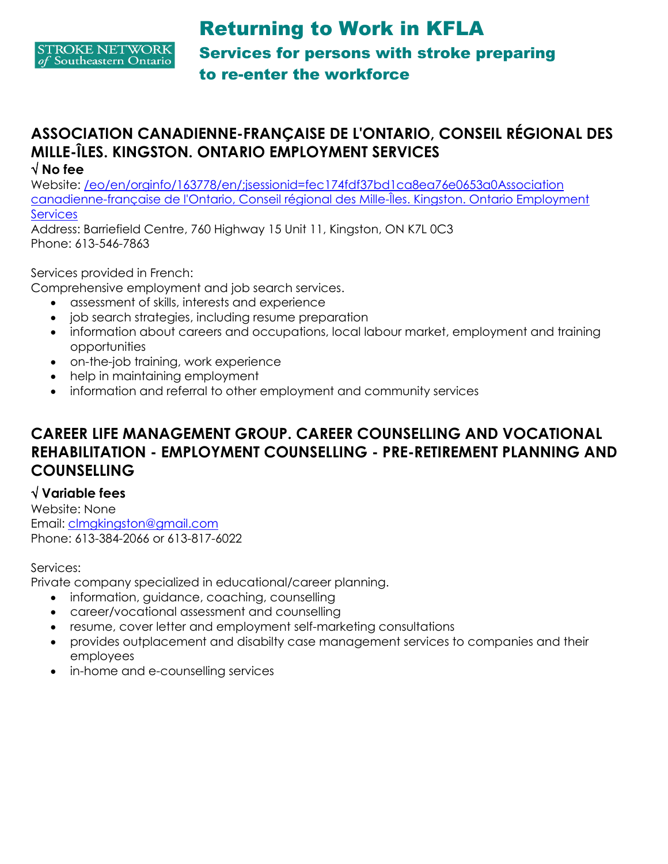

# **ASSOCIATION CANADIENNE-FRANÇAISE DE L'ONTARIO, CONSEIL RÉGIONAL DES MILLE-ÎLES. KINGSTON. ONTARIO EMPLOYMENT SERVICES**

#### **No fee**

Website: /eo/en/orginfo/163778/en/;jsessionid=fec174fdf37bd1ca8ea76e0653a0Association [canadienne-française de l'Ontario, Conseil régional des Mille-Îles. Kingston. Ontario Employment](file:///C:/eo/en/orginfo/163778/en/;jsessionid=fec174fdf37bd1ca8ea76e0653a0)  **Services** 

Address: Barriefield Centre, 760 Highway 15 Unit 11, Kingston, ON K7L 0C3 Phone: 613-546-7863

#### Services provided in French:

Comprehensive employment and job search services.

- assessment of skills, interests and experience
- job search strategies, including resume preparation
- information about careers and occupations, local labour market, employment and training opportunities
- on-the-job training, work experience
- help in maintaining employment
- information and referral to other employment and community services

### **CAREER LIFE MANAGEMENT GROUP. CAREER COUNSELLING AND VOCATIONAL REHABILITATION - EMPLOYMENT COUNSELLING - PRE-RETIREMENT PLANNING AND COUNSELLING**

#### **Variable fees**

Website: None Email: [clmgkingston@gmail.com](mailto:clmgkingston@gmail.com) Phone: 613-384-2066 or 613-817-6022

#### Services:

Private company specialized in educational/career planning.

- information, guidance, coaching, counselling
- career/vocational assessment and counselling
- resume, cover letter and employment self-marketing consultations
- provides outplacement and disabilty case management services to companies and their employees
- in-home and e-counselling services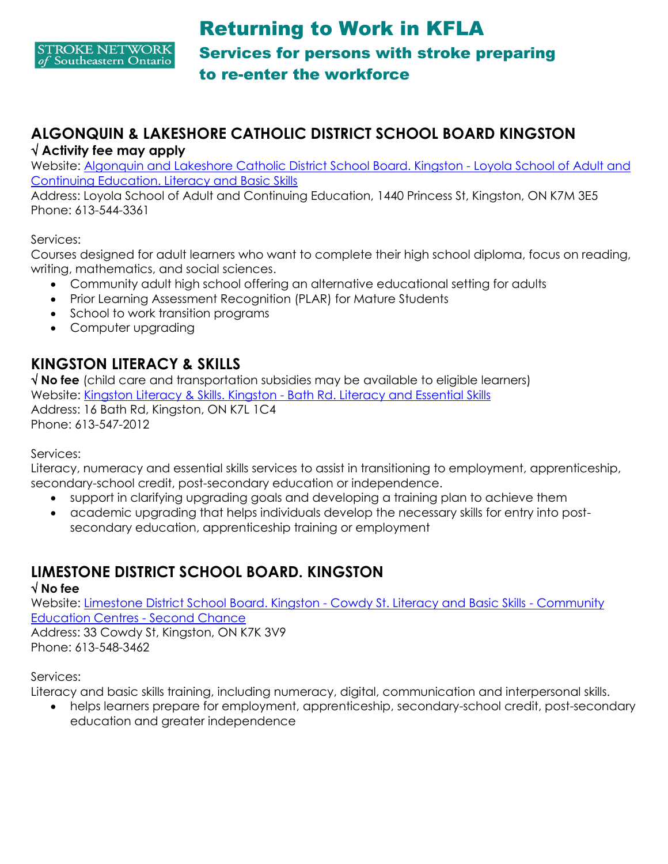

### **ALGONQUIN & LAKESHORE CATHOLIC DISTRICT SCHOOL BOARD KINGSTON Activity fee may apply**

Website: [Algonquin and Lakeshore Catholic District School Board. Kingston -](file:///C:/eo/en/orginfo/221317/en/;jsessionid=fec174fdf37bd1ca8ea76e0653a0) Loyola School of Adult and [Continuing Education. Literacy and Basic Skills](file:///C:/eo/en/orginfo/221317/en/;jsessionid=fec174fdf37bd1ca8ea76e0653a0) 

Address: Loyola School of Adult and Continuing Education, 1440 Princess St, Kingston, ON K7M 3E5 Phone: 613-544-3361

Services:

Courses designed for adult learners who want to complete their high school diploma, focus on reading, writing, mathematics, and social sciences.

- Community adult high school offering an alternative educational setting for adults
- Prior Learning Assessment Recognition (PLAR) for Mature Students
- School to work transition programs
- Computer upgrading

## **KINGSTON LITERACY & SKILLS**

 **No fee** (child care and transportation subsidies may be available to eligible learners) Website: Kingston Literacy & Skills. Kingston - [Bath Rd. Literacy and Essential Skills](file:///C:/eo/en/orginfo/56034/en/;jsessionid=ab341451bb1b8c247edef857ec6e)  Address: 16 Bath Rd, Kingston, ON K7L 1C4 Phone: 613-547-2012

Services:

Literacy, numeracy and essential skills services to assist in transitioning to employment, apprenticeship, secondary-school credit, post-secondary education or independence.

- support in clarifying upgrading goals and developing a training plan to achieve them
- academic upgrading that helps individuals develop the necessary skills for entry into postsecondary education, apprenticeship training or employment

# **LIMESTONE DISTRICT SCHOOL BOARD. KINGSTON**

#### **No fee**

Website: [Limestone District School Board. Kingston -](file:///C:/eo/en/orginfo/178362/en/;jsessionid=ab341451bb1b8c247edef857ec6e) Cowdy St. Literacy and Basic Skills - Community [Education Centres -](file:///C:/eo/en/orginfo/178362/en/;jsessionid=ab341451bb1b8c247edef857ec6e) Second Chance Address: 33 Cowdy St, Kingston, ON K7K 3V9

Phone: 613-548-3462

Services:

Literacy and basic skills training, including numeracy, digital, communication and interpersonal skills.

 helps learners prepare for employment, apprenticeship, secondary-school credit, post-secondary education and greater independence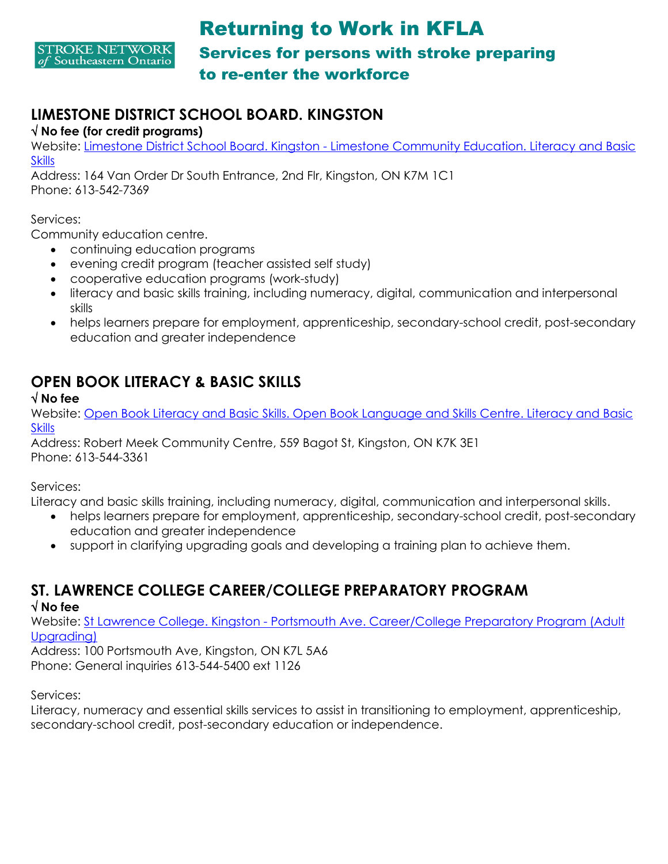

## **LIMESTONE DISTRICT SCHOOL BOARD. KINGSTON**

#### **No fee (for credit programs)**

Website: Limestone District School Board. Kingston - [Limestone Community Education. Literacy and Basic](file:///C:/eo/en/orginfo/178492/en/;jsessionid=ab341451bb1b8c247edef857ec6e)  **Skills** 

Address: 164 Van Order Dr South Entrance, 2nd Flr, Kingston, ON K7M 1C1 Phone: 613-542-7369

#### Services:

Community education centre.

- continuing education programs
- evening credit program (teacher assisted self study)
- cooperative education programs (work-study)
- literacy and basic skills training, including numeracy, digital, communication and interpersonal skills
- helps learners prepare for employment, apprenticeship, secondary-school credit, post-secondary education and greater independence

# **OPEN BOOK LITERACY & BASIC SKILLS**

#### **No fee**

Website: [Open Book Literacy and Basic Skills. Open Book Language and Skills Centre. Literacy and Basic](file:///C:/eo/en/orginfo/161251/en/;jsessionid=ab341451bb1b8c247edef857ec6e)  **Skills** 

Address: Robert Meek Community Centre, 559 Bagot St, Kingston, ON K7K 3E1 Phone: 613-544-3361

Services:

Literacy and basic skills training, including numeracy, digital, communication and interpersonal skills.

- helps learners prepare for employment, apprenticeship, secondary-school credit, post-secondary education and greater independence
- support in clarifying upgrading goals and developing a training plan to achieve them.

## **ST. LAWRENCE COLLEGE CAREER/COLLEGE PREPARATORY PROGRAM**

#### **No fee**

Website: St Lawrence College. Kingston - [Portsmouth Ave. Career/College Preparatory Program \(Adult](file:///C:/eo/en/orginfo/179109/en/;jsessionid=ab341451bb1b8c247edef857ec6e)  Uparadina)

Address: 100 Portsmouth Ave, Kingston, ON K7L 5A6 Phone: General inquiries 613-544-5400 ext 1126

Services:

Literacy, numeracy and essential skills services to assist in transitioning to employment, apprenticeship, secondary-school credit, post-secondary education or independence.